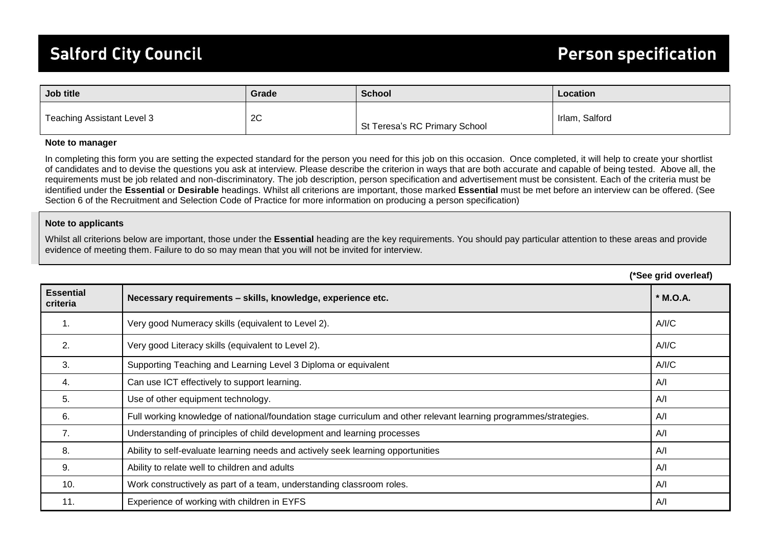## **Salford City Council**

| Job title                  | Grade | <b>School</b>                 | Location       |
|----------------------------|-------|-------------------------------|----------------|
| Teaching Assistant Level 3 | 2C    | St Teresa's RC Primary School | Irlam, Salford |

## **Note to manager**

In completing this form you are setting the expected standard for the person you need for this job on this occasion. Once completed, it will help to create your shortlist of candidates and to devise the questions you ask at interview. Please describe the criterion in ways that are both accurate and capable of being tested. Above all, the requirements must be job related and non-discriminatory. The job description, person specification and advertisement must be consistent. Each of the criteria must be identified under the **Essential** or **Desirable** headings. Whilst all criterions are important, those marked **Essential** must be met before an interview can be offered. (See Section 6 of the Recruitment and Selection Code of Practice for more information on producing a person specification)

## **Note to applicants**

Whilst all criterions below are important, those under the **Essential** heading are the key requirements. You should pay particular attention to these areas and provide evidence of meeting them. Failure to do so may mean that you will not be invited for interview.

|                              |                                                                                                                   | (*See grid overleaf) |
|------------------------------|-------------------------------------------------------------------------------------------------------------------|----------------------|
| <b>Essential</b><br>criteria | Necessary requirements - skills, knowledge, experience etc.                                                       | * M.O.A.             |
| 1.                           | Very good Numeracy skills (equivalent to Level 2).                                                                | A/IC                 |
| 2.                           | Very good Literacy skills (equivalent to Level 2).                                                                | A/IC                 |
| 3.                           | Supporting Teaching and Learning Level 3 Diploma or equivalent                                                    | A/IC                 |
| 4.                           | Can use ICT effectively to support learning.                                                                      | A/I                  |
| 5.                           | Use of other equipment technology.                                                                                | A/I                  |
| 6.                           | Full working knowledge of national/foundation stage curriculum and other relevant learning programmes/strategies. | A/I                  |
| 7.                           | Understanding of principles of child development and learning processes                                           | A/I                  |
| 8.                           | Ability to self-evaluate learning needs and actively seek learning opportunities                                  | A/I                  |
| 9.                           | Ability to relate well to children and adults                                                                     | A/I                  |
| 10.                          | Work constructively as part of a team, understanding classroom roles.                                             | A/I                  |
| 11.                          | Experience of working with children in EYFS                                                                       | A/I                  |